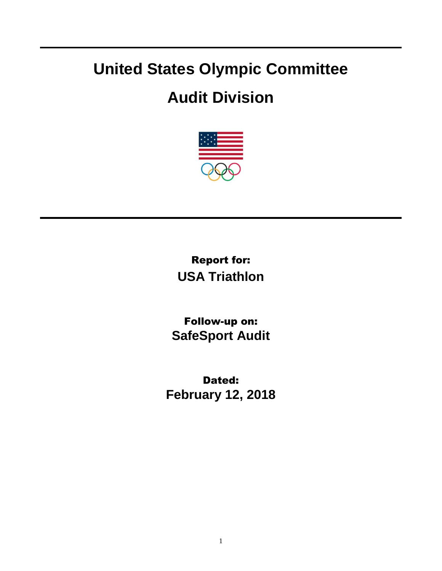## **United States Olympic Committee**

## **Audit Division**



Report for: **USA Triathlon**

Follow-up on: **SafeSport Audit**

Dated: **February 12, 2018**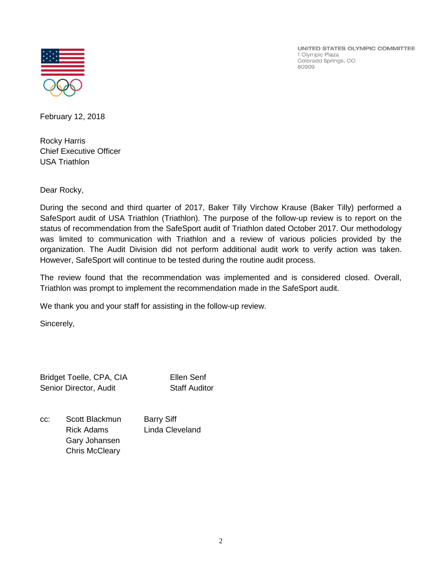

UNITED STATES OLYMPIC COMMITTEE 1 Olympic Plaza Colorado Springs, CO 80909

February 12, 2018

Rocky Harris Chief Executive Officer USA Triathlon

Dear Rocky,

During the second and third quarter of 2017, Baker Tilly Virchow Krause (Baker Tilly) performed a SafeSport audit of USA Triathlon (Triathlon). The purpose of the follow-up review is to report on the status of recommendation from the SafeSport audit of Triathlon dated October 2017. Our methodology was limited to communication with Triathlon and a review of various policies provided by the organization. The Audit Division did not perform additional audit work to verify action was taken. However, SafeSport will continue to be tested during the routine audit process.

The review found that the recommendation was implemented and is considered closed. Overall, Triathlon was prompt to implement the recommendation made in the SafeSport audit.

We thank you and your staff for assisting in the follow-up review.

Sincerely,

Bridget Toelle, CPA, CIA Ellen Senf Senior Director, Audit Staff Auditor

cc: Scott Blackmun Barry Siff Rick Adams Linda Cleveland Gary Johansen Chris McCleary